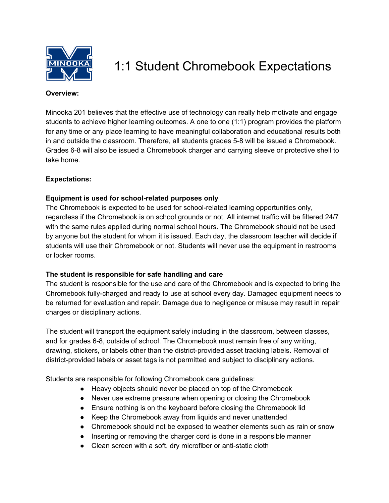

# 1:1 Student Chromebook Expectations

#### **Overview:**

Minooka 201 believes that the effective use of technology can really help motivate and engage students to achieve higher learning outcomes. A one to one (1:1) program provides the platform for any time or any place learning to have meaningful collaboration and educational results both in and outside the classroom. Therefore, all students grades 5-8 will be issued a Chromebook. Grades 6-8 will also be issued a Chromebook charger and carrying sleeve or protective shell to take home.

## **Expectations:**

## **Equipment is used for school-related purposes only**

The Chromebook is expected to be used for school-related learning opportunities only, regardless if the Chromebook is on school grounds or not. All internet traffic will be filtered 24/7 with the same rules applied during normal school hours. The Chromebook should not be used by anyone but the student for whom it is issued. Each day, the classroom teacher will decide if students will use their Chromebook or not. Students will never use the equipment in restrooms or locker rooms.

## **The student is responsible for safe handling and care**

The student is responsible for the use and care of the Chromebook and is expected to bring the Chromebook fully-charged and ready to use at school every day. Damaged equipment needs to be returned for evaluation and repair. Damage due to negligence or misuse may result in repair charges or disciplinary actions.

The student will transport the equipment safely including in the classroom, between classes, and for grades 6-8, outside of school. The Chromebook must remain free of any writing, drawing, stickers, or labels other than the district-provided asset tracking labels. Removal of district-provided labels or asset tags is not permitted and subject to disciplinary actions.

Students are responsible for following Chromebook care guidelines:

- Heavy objects should never be placed on top of the Chromebook
- Never use extreme pressure when opening or closing the Chromebook
- Ensure nothing is on the keyboard before closing the Chromebook lid
- Keep the Chromebook away from liquids and never unattended
- Chromebook should not be exposed to weather elements such as rain or snow
- Inserting or removing the charger cord is done in a responsible manner
- Clean screen with a soft, dry microfiber or anti-static cloth